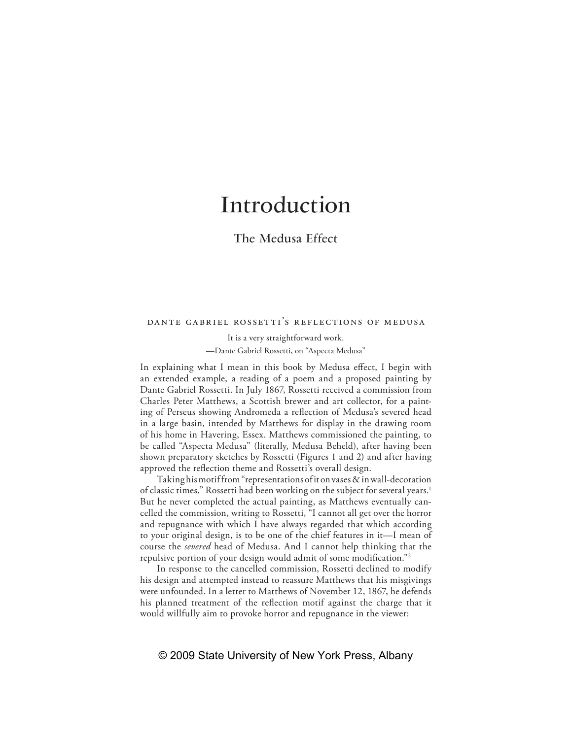# Introduction

The Medusa Effect

#### dante gabriel rossetti's reflections of medusa

It is a very straightforward work. —Dante Gabriel Rossetti, on "Aspecta Medusa"

In explaining what I mean in this book by Medusa effect, I begin with an extended example, a reading of a poem and a proposed painting by Dante Gabriel Rossetti. In July 1867, Rossetti received a commission from Charles Peter Matthews, a Scottish brewer and art collector, for a painting of Perseus showing Andromeda a reflection of Medusa's severed head in a large basin, intended by Matthews for display in the drawing room of his home in Havering, Essex. Matthews commissioned the painting, to be called "Aspecta Medusa" (literally, Medusa Beheld), after having been shown preparatory sketches by Rossetti (Figures 1 and 2) and after having approved the reflection theme and Rossetti's overall design.

Taking his motif from "representations of it on vases & in wall-decoration of classic times," Rossetti had been working on the subject for several years.<sup>1</sup> But he never completed the actual painting, as Matthews eventually cancelled the commission, writing to Rossetti, "I cannot all get over the horror and repugnance with which I have always regarded that which according to your original design, is to be one of the chief features in it—I mean of course the *severed* head of Medusa. And I cannot help thinking that the repulsive portion of your design would admit of some modification."<sup>2</sup>

In response to the cancelled commission, Rossetti declined to modify his design and attempted instead to reassure Matthews that his misgivings were unfounded. In a letter to Matthews of November 12, 1867, he defends his planned treatment of the reflection motif against the charge that it would willfully aim to provoke horror and repugnance in the viewer: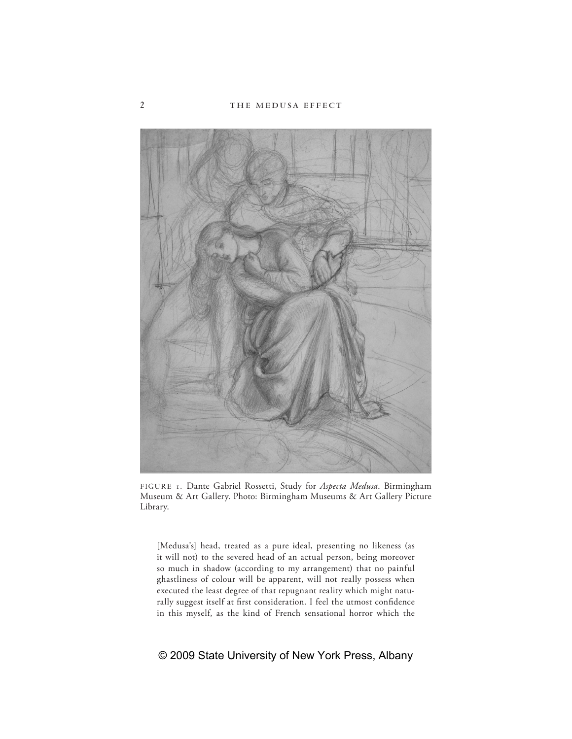

FIGURE . Dante Gabriel Rossetti, Study for *Aspecta Medusa*. Birmingham Museum & Art Gallery. Photo: Birmingham Museums & Art Gallery Picture Library.

[Medusa's] head, treated as a pure ideal, presenting no likeness (as it will not) to the severed head of an actual person, being moreover so much in shadow (according to my arrangement) that no painful ghastliness of colour will be apparent, will not really possess when executed the least degree of that repugnant reality which might naturally suggest itself at first consideration. I feel the utmost confidence in this myself, as the kind of French sensational horror which the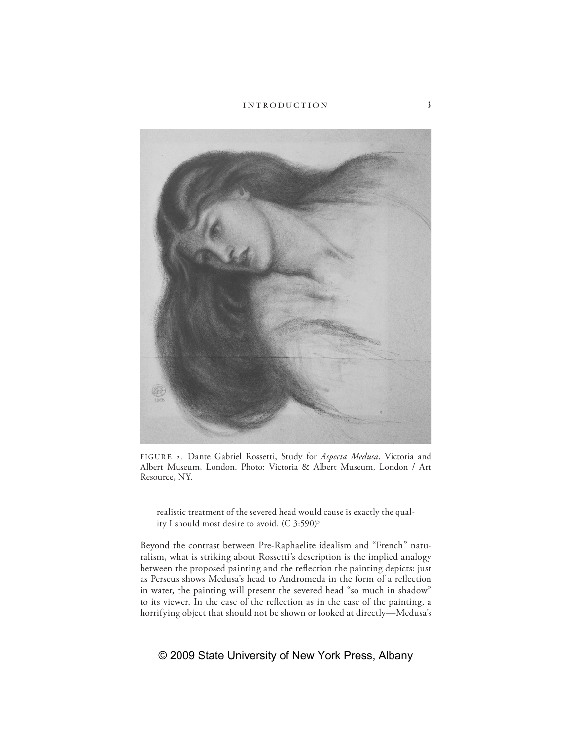

FIGURE . Dante Gabriel Rossetti, Study for *Aspecta Medusa*. Victoria and Albert Museum, London. Photo: Victoria & Albert Museum, London / Art Resource, NY.

realistic treatment of the severed head would cause is exactly the quality I should most desire to avoid. (C 3:590)<sup>3</sup>

Beyond the contrast between Pre-Raphaelite idealism and "French" naturalism, what is striking about Rossetti's description is the implied analogy between the proposed painting and the reflection the painting depicts: just as Perseus shows Medusa's head to Andromeda in the form of a reflection in water, the painting will present the severed head "so much in shadow" to its viewer. In the case of the reflection as in the case of the painting, a horrifying object that should not be shown or looked at directly—Medusa's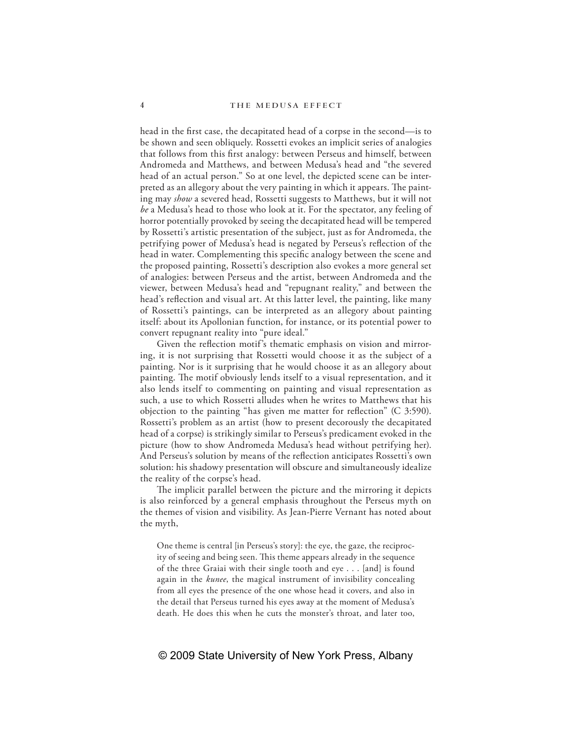head in the first case, the decapitated head of a corpse in the second—is to be shown and seen obliquely. Rossetti evokes an implicit series of analogies that follows from this first analogy: between Perseus and himself, between Andromeda and Matthews, and between Medusa's head and "the severed head of an actual person." So at one level, the depicted scene can be interpreted as an allegory about the very painting in which it appears. The painting may *show* a severed head, Rossetti suggests to Matthews, but it will not *be* a Medusa's head to those who look at it. For the spectator, any feeling of horror potentially provoked by seeing the decapitated head will be tempered by Rossetti's artistic presentation of the subject, just as for Andromeda, the petrifying power of Medusa's head is negated by Perseus's reflection of the head in water. Complementing this specific analogy between the scene and the proposed painting, Rossetti's description also evokes a more general set of analogies: between Perseus and the artist, between Andromeda and the viewer, between Medusa's head and "repugnant reality," and between the head's reflection and visual art. At this latter level, the painting, like many of Rossetti's paintings, can be interpreted as an allegory about painting itself: about its Apollonian function, for instance, or its potential power to convert repugnant reality into "pure ideal."

Given the reflection motif's thematic emphasis on vision and mirroring, it is not surprising that Rossetti would choose it as the subject of a painting. Nor is it surprising that he would choose it as an allegory about painting. The motif obviously lends itself to a visual representation, and it also lends itself to commenting on painting and visual representation as such, a use to which Rossetti alludes when he writes to Matthews that his objection to the painting "has given me matter for reflection" ( $C$  3:590). Rossetti's problem as an artist (how to present decorously the decapitated head of a corpse) is strikingly similar to Perseus's predicament evoked in the picture (how to show Andromeda Medusa's head without petrifying her). And Perseus's solution by means of the reflection anticipates Rossetti's own solution: his shadowy presentation will obscure and simultaneously idealize the reality of the corpse's head.

The implicit parallel between the picture and the mirroring it depicts is also reinforced by a general emphasis throughout the Perseus myth on the themes of vision and visibility. As Jean-Pierre Vernant has noted about the myth,

One theme is central [in Perseus's story]: the eye, the gaze, the reciprocity of seeing and being seen. This theme appears already in the sequence of the three Graiai with their single tooth and eye . . . [and] is found again in the *kunee*, the magical instrument of invisibility concealing from all eyes the presence of the one whose head it covers, and also in the detail that Perseus turned his eyes away at the moment of Medusa's death. He does this when he cuts the monster's throat, and later too,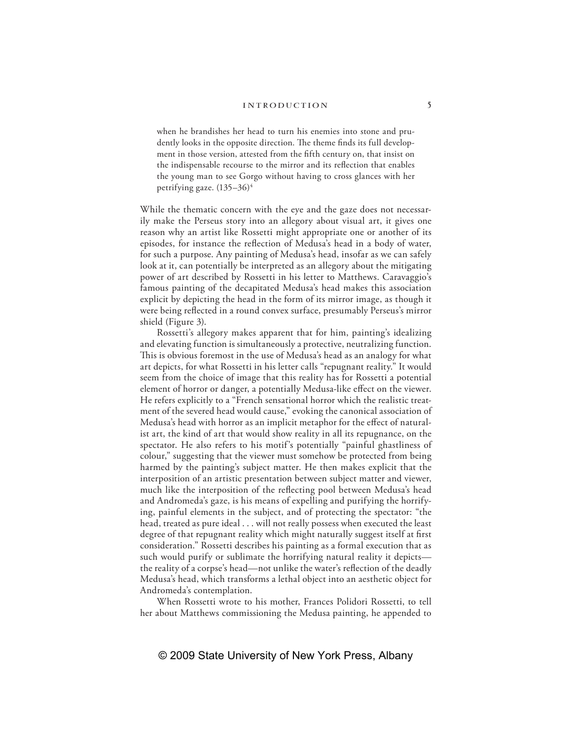when he brandishes her head to turn his enemies into stone and prudently looks in the opposite direction. The theme finds its full development in those version, attested from the fifth century on, that insist on the indispensable recourse to the mirror and its reflection that enables the young man to see Gorgo without having to cross glances with her petrifying gaze. (135–36)4

While the thematic concern with the eye and the gaze does not necessarily make the Perseus story into an allegory about visual art, it gives one reason why an artist like Rossetti might appropriate one or another of its episodes, for instance the reflection of Medusa's head in a body of water, for such a purpose. Any painting of Medusa's head, insofar as we can safely look at it, can potentially be interpreted as an allegory about the mitigating power of art described by Rossetti in his letter to Matthews. Caravaggio's famous painting of the decapitated Medusa's head makes this association explicit by depicting the head in the form of its mirror image, as though it were being reflected in a round convex surface, presumably Perseus's mirror shield (Figure 3).

Rossetti's allegory makes apparent that for him, painting's idealizing and elevating function is simultaneously a protective, neutralizing function. This is obvious foremost in the use of Medusa's head as an analogy for what art depicts, for what Rossetti in his letter calls "repugnant reality." It would seem from the choice of image that this reality has for Rossetti a potential element of horror or danger, a potentially Medusa-like effect on the viewer. He refers explicitly to a "French sensational horror which the realistic treatment of the severed head would cause," evoking the canonical association of Medusa's head with horror as an implicit metaphor for the effect of naturalist art, the kind of art that would show reality in all its repugnance, on the spectator. He also refers to his motif's potentially "painful ghastliness of colour," suggesting that the viewer must somehow be protected from being harmed by the painting's subject matter. He then makes explicit that the interposition of an artistic presentation between subject matter and viewer, much like the interposition of the reflecting pool between Medusa's head and Andromeda's gaze, is his means of expelling and purifying the horrifying, painful elements in the subject, and of protecting the spectator: "the head, treated as pure ideal . . . will not really possess when executed the least degree of that repugnant reality which might naturally suggest itself at first consideration." Rossetti describes his painting as a formal execution that as such would purify or sublimate the horrifying natural reality it depicts the reality of a corpse's head—not unlike the water's reflection of the deadly Medusa's head, which transforms a lethal object into an aesthetic object for Andromeda's contemplation.

When Rossetti wrote to his mother, Frances Polidori Rossetti, to tell her about Matthews commissioning the Medusa painting, he appended to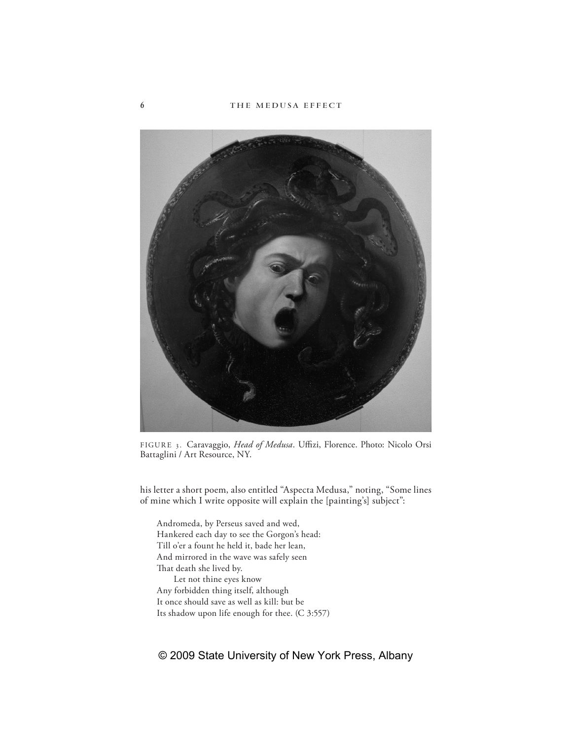#### 6 THE MEDUSA EFFECT



FIGURE 3. Caravaggio, *Head of Medusa*. Uffizi, Florence. Photo: Nicolo Orsi Battaglini / Art Resource, NY.

his letter a short poem, also entitled "Aspecta Medusa," noting, "Some lines of mine which I write opposite will explain the [painting's] subject":

Andromeda, by Perseus saved and wed, Hankered each day to see the Gorgon's head: Till o'er a fount he held it, bade her lean, And mirrored in the wave was safely seen That death she lived by. Let not thine eyes know Any forbidden thing itself, although It once should save as well as kill: but be Its shadow upon life enough for thee. (C 3:557)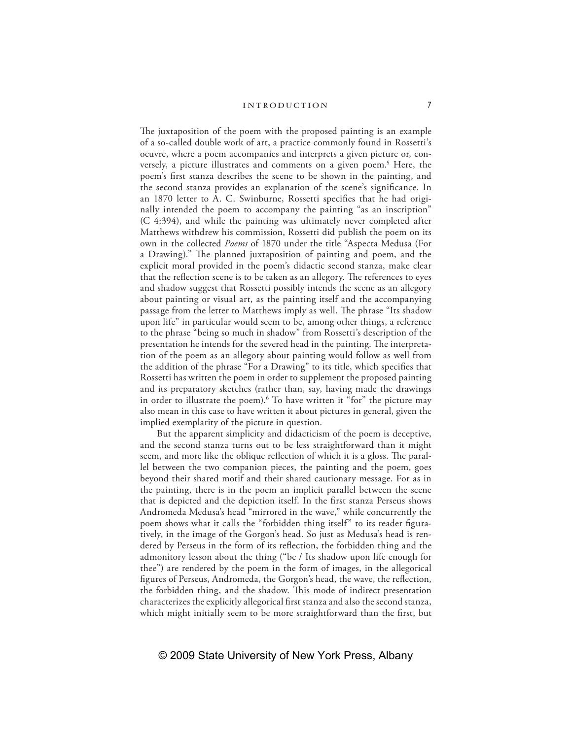#### INTRODUCTION 7

The juxtaposition of the poem with the proposed painting is an example of a so-called double work of art, a practice commonly found in Rossetti's oeuvre, where a poem accompanies and interprets a given picture or, conversely, a picture illustrates and comments on a given poem.<sup>5</sup> Here, the poem's first stanza describes the scene to be shown in the painting, and the second stanza provides an explanation of the scene's significance. In an 1870 letter to A. C. Swinburne, Rossetti specifies that he had originally intended the poem to accompany the painting "as an inscription" (C 4:394), and while the painting was ultimately never completed after Matthews withdrew his commission, Rossetti did publish the poem on its own in the collected *Poems* of 1870 under the title "Aspecta Medusa (For a Drawing)." The planned juxtaposition of painting and poem, and the explicit moral provided in the poem's didactic second stanza, make clear that the reflection scene is to be taken as an allegory. The references to eyes and shadow suggest that Rossetti possibly intends the scene as an allegory about painting or visual art, as the painting itself and the accompanying passage from the letter to Matthews imply as well. The phrase "Its shadow upon life" in particular would seem to be, among other things, a reference to the phrase "being so much in shadow" from Rossetti's description of the presentation he intends for the severed head in the painting. The interpretation of the poem as an allegory about painting would follow as well from the addition of the phrase "For a Drawing" to its title, which specifies that Rossetti has written the poem in order to supplement the proposed painting and its preparatory sketches (rather than, say, having made the drawings in order to illustrate the poem).<sup>6</sup> To have written it "for" the picture may also mean in this case to have written it about pictures in general, given the implied exemplarity of the picture in question.

But the apparent simplicity and didacticism of the poem is deceptive, and the second stanza turns out to be less straightforward than it might seem, and more like the oblique reflection of which it is a gloss. The parallel between the two companion pieces, the painting and the poem, goes beyond their shared motif and their shared cautionary message. For as in the painting, there is in the poem an implicit parallel between the scene that is depicted and the depiction itself. In the first stanza Perseus shows Andromeda Medusa's head "mirrored in the wave," while concurrently the poem shows what it calls the "forbidden thing itself" to its reader figuratively, in the image of the Gorgon's head. So just as Medusa's head is rendered by Perseus in the form of its reflection, the forbidden thing and the admonitory lesson about the thing ("be / Its shadow upon life enough for thee") are rendered by the poem in the form of images, in the allegorical figures of Perseus, Andromeda, the Gorgon's head, the wave, the reflection, the forbidden thing, and the shadow. This mode of indirect presentation characterizes the explicitly allegorical first stanza and also the second stanza, which might initially seem to be more straightforward than the first, but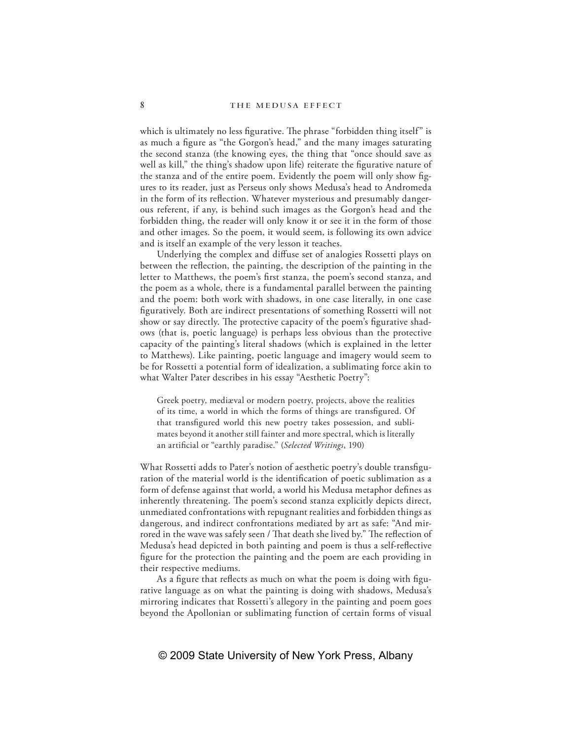which is ultimately no less figurative. The phrase "forbidden thing itself" is as much a figure as "the Gorgon's head," and the many images saturating the second stanza (the knowing eyes, the thing that "once should save as well as kill," the thing's shadow upon life) reiterate the figurative nature of the stanza and of the entire poem. Evidently the poem will only show figures to its reader, just as Perseus only shows Medusa's head to Andromeda in the form of its reflection. Whatever mysterious and presumably dangerous referent, if any, is behind such images as the Gorgon's head and the forbidden thing, the reader will only know it or see it in the form of those and other images. So the poem, it would seem, is following its own advice and is itself an example of the very lesson it teaches.

Underlying the complex and diffuse set of analogies Rossetti plays on between the reflection, the painting, the description of the painting in the letter to Matthews, the poem's first stanza, the poem's second stanza, and the poem as a whole, there is a fundamental parallel between the painting and the poem: both work with shadows, in one case literally, in one case figuratively. Both are indirect presentations of something Rossetti will not show or say directly. The protective capacity of the poem's figurative shadows (that is, poetic language) is perhaps less obvious than the protective capacity of the painting's literal shadows (which is explained in the letter to Matthews). Like painting, poetic language and imagery would seem to be for Rossetti a potential form of idealization, a sublimating force akin to what Walter Pater describes in his essay "Aesthetic Poetry":

Greek poetry, mediæval or modern poetry, projects, above the realities of its time, a world in which the forms of things are transfigured. Of that transfigured world this new poetry takes possession, and sublimates beyond it another still fainter and more spectral, which is literally an artificial or "earthly paradise." (*Selected Writings*, 190)

What Rossetti adds to Pater's notion of aesthetic poetry's double transfiguration of the material world is the identification of poetic sublimation as a form of defense against that world, a world his Medusa metaphor defines as inherently threatening. The poem's second stanza explicitly depicts direct, unmediated confrontations with repugnant realities and forbidden things as dangerous, and indirect confrontations mediated by art as safe: "And mirrored in the wave was safely seen / That death she lived by." The reflection of Medusa's head depicted in both painting and poem is thus a self-reflective figure for the protection the painting and the poem are each providing in their respective mediums.

As a figure that reflects as much on what the poem is doing with figurative language as on what the painting is doing with shadows, Medusa's mirroring indicates that Rossetti's allegory in the painting and poem goes beyond the Apollonian or sublimating function of certain forms of visual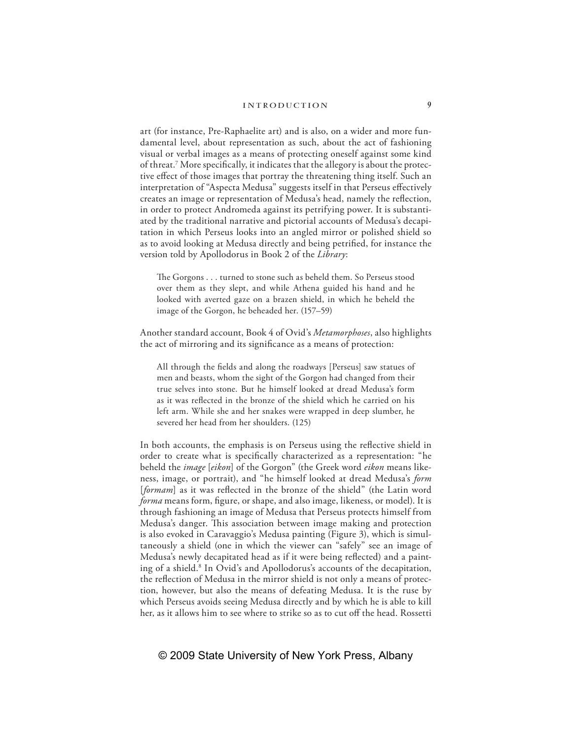art (for instance, Pre-Raphaelite art) and is also, on a wider and more fundamental level, about representation as such, about the act of fashioning visual or verbal images as a means of protecting oneself against some kind of threat.<sup>7</sup> More specifically, it indicates that the allegory is about the protective effect of those images that portray the threatening thing itself. Such an interpretation of "Aspecta Medusa" suggests itself in that Perseus effectively creates an image or representation of Medusa's head, namely the reflection, in order to protect Andromeda against its petrifying power. It is substantiated by the traditional narrative and pictorial accounts of Medusa's decapitation in which Perseus looks into an angled mirror or polished shield so as to avoid looking at Medusa directly and being petrified, for instance the version told by Apollodorus in Book 2 of the *Library*:

The Gorgons . . . turned to stone such as beheld them. So Perseus stood over them as they slept, and while Athena guided his hand and he looked with averted gaze on a brazen shield, in which he beheld the image of the Gorgon, he beheaded her. (157–59)

Another standard account, Book 4 of Ovid's *Metamorphoses*, also highlights the act of mirroring and its significance as a means of protection:

All through the fields and along the roadways [Perseus] saw statues of men and beasts, whom the sight of the Gorgon had changed from their true selves into stone. But he himself looked at dread Medusa's form as it was reflected in the bronze of the shield which he carried on his left arm. While she and her snakes were wrapped in deep slumber, he severed her head from her shoulders. (125)

In both accounts, the emphasis is on Perseus using the reflective shield in order to create what is specifically characterized as a representation: "he beheld the *image* [*eikon*] of the Gorgon" (the Greek word *eikon* means likeness, image, or portrait), and "he himself looked at dread Medusa's *form* [*formam*] as it was reflected in the bronze of the shield" (the Latin word *forma* means form, figure, or shape, and also image, likeness, or model). It is through fashioning an image of Medusa that Perseus protects himself from Medusa's danger. This association between image making and protection is also evoked in Caravaggio's Medusa painting (Figure 3), which is simultaneously a shield (one in which the viewer can "safely" see an image of Medusa's newly decapitated head as if it were being reflected) and a painting of a shield.<sup>8</sup> In Ovid's and Apollodorus's accounts of the decapitation, the reflection of Medusa in the mirror shield is not only a means of protection, however, but also the means of defeating Medusa. It is the ruse by which Perseus avoids seeing Medusa directly and by which he is able to kill her, as it allows him to see where to strike so as to cut off the head. Rossetti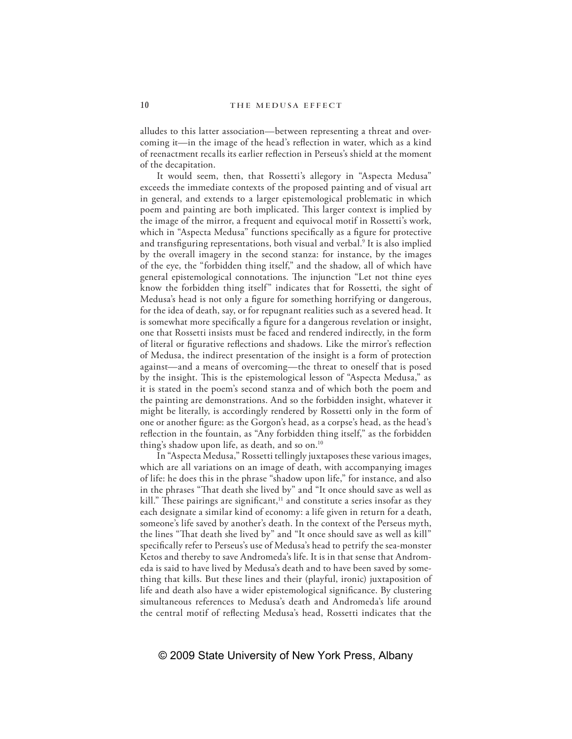alludes to this latter association—between representing a threat and overcoming it—in the image of the head's reflection in water, which as a kind of reenactment recalls its earlier reflection in Perseus's shield at the moment of the decapitation.

It would seem, then, that Rossetti's allegory in "Aspecta Medusa" exceeds the immediate contexts of the proposed painting and of visual art in general, and extends to a larger epistemological problematic in which poem and painting are both implicated. This larger context is implied by the image of the mirror, a frequent and equivocal motif in Rossetti's work, which in "Aspecta Medusa" functions specifically as a figure for protective and transfiguring representations, both visual and verbal.<sup>9</sup> It is also implied by the overall imagery in the second stanza: for instance, by the images of the eye, the "forbidden thing itself," and the shadow, all of which have general epistemological connotations. The injunction "Let not thine eyes know the forbidden thing itself" indicates that for Rossetti, the sight of Medusa's head is not only a figure for something horrifying or dangerous, for the idea of death, say, or for repugnant realities such as a severed head. It is somewhat more specifically a figure for a dangerous revelation or insight, one that Rossetti insists must be faced and rendered indirectly, in the form of literal or figurative reflections and shadows. Like the mirror's reflection of Medusa, the indirect presentation of the insight is a form of protection against—and a means of overcoming—the threat to oneself that is posed by the insight. This is the epistemological lesson of "Aspecta Medusa," as it is stated in the poem's second stanza and of which both the poem and the painting are demonstrations. And so the forbidden insight, whatever it might be literally, is accordingly rendered by Rossetti only in the form of one or another figure: as the Gorgon's head, as a corpse's head, as the head's reflection in the fountain, as "Any forbidden thing itself," as the forbidden thing's shadow upon life, as death, and so on. $^{10}$ 

In "Aspecta Medusa," Rossetti tellingly juxtaposes these various images, which are all variations on an image of death, with accompanying images of life: he does this in the phrase "shadow upon life," for instance, and also in the phrases "That death she lived by" and "It once should save as well as kill." These pairings are significant, $11$  and constitute a series insofar as they each designate a similar kind of economy: a life given in return for a death, someone's life saved by another's death. In the context of the Perseus myth, the lines "That death she lived by" and "It once should save as well as kill" specifically refer to Perseus's use of Medusa's head to petrify the sea-monster Ketos and thereby to save Andromeda's life. It is in that sense that Andromeda is said to have lived by Medusa's death and to have been saved by something that kills. But these lines and their (playful, ironic) juxtaposition of life and death also have a wider epistemological significance. By clustering simultaneous references to Medusa's death and Andromeda's life around the central motif of reflecting Medusa's head, Rossetti indicates that the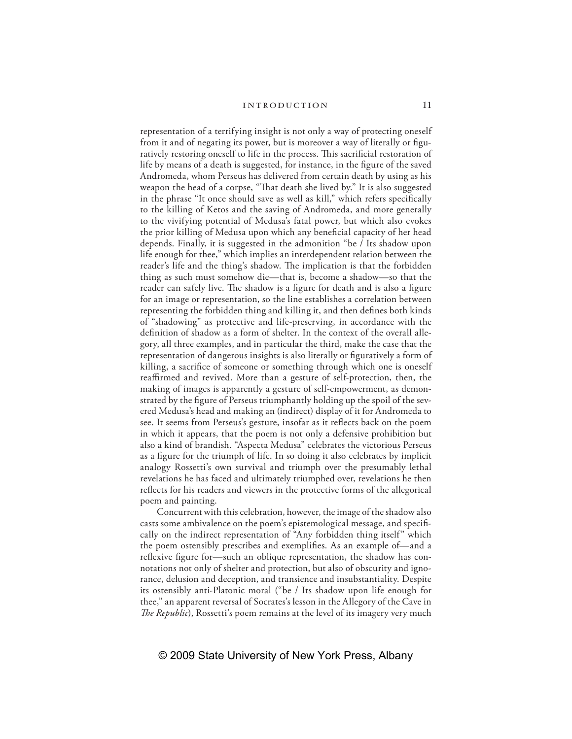representation of a terrifying insight is not only a way of protecting oneself from it and of negating its power, but is moreover a way of literally or figuratively restoring oneself to life in the process. This sacrificial restoration of life by means of a death is suggested, for instance, in the figure of the saved Andromeda, whom Perseus has delivered from certain death by using as his weapon the head of a corpse, "That death she lived by." It is also suggested in the phrase "It once should save as well as kill," which refers specifically to the killing of Ketos and the saving of Andromeda, and more generally to the vivifying potential of Medusa's fatal power, but which also evokes the prior killing of Medusa upon which any beneficial capacity of her head depends. Finally, it is suggested in the admonition "be / Its shadow upon life enough for thee," which implies an interdependent relation between the reader's life and the thing's shadow. The implication is that the forbidden thing as such must somehow die—that is, become a shadow—so that the reader can safely live. The shadow is a figure for death and is also a figure for an image or representation, so the line establishes a correlation between representing the forbidden thing and killing it, and then defines both kinds of "shadowing" as protective and life-preserving, in accordance with the definition of shadow as a form of shelter. In the context of the overall allegory, all three examples, and in particular the third, make the case that the representation of dangerous insights is also literally or figuratively a form of killing, a sacrifice of someone or something through which one is oneself reaffirmed and revived. More than a gesture of self-protection, then, the making of images is apparently a gesture of self-empowerment, as demonstrated by the figure of Perseus triumphantly holding up the spoil of the severed Medusa's head and making an (indirect) display of it for Andromeda to see. It seems from Perseus's gesture, insofar as it reflects back on the poem in which it appears, that the poem is not only a defensive prohibition but also a kind of brandish. "Aspecta Medusa" celebrates the victorious Perseus as a figure for the triumph of life. In so doing it also celebrates by implicit analogy Rossetti's own survival and triumph over the presumably lethal revelations he has faced and ultimately triumphed over, revelations he then reflects for his readers and viewers in the protective forms of the allegorical poem and painting.

Concurrent with this celebration, however, the image of the shadow also casts some ambivalence on the poem's epistemological message, and specifi cally on the indirect representation of "Any forbidden thing itself" which the poem ostensibly prescribes and exemplifies. As an example of—and a reflexive figure for—such an oblique representation, the shadow has connotations not only of shelter and protection, but also of obscurity and ignorance, delusion and deception, and transience and insubstantiality. Despite its ostensibly anti-Platonic moral ("be / Its shadow upon life enough for thee," an apparent reversal of Socrates's lesson in the Allegory of the Cave in *The Republic*), Rossetti's poem remains at the level of its imagery very much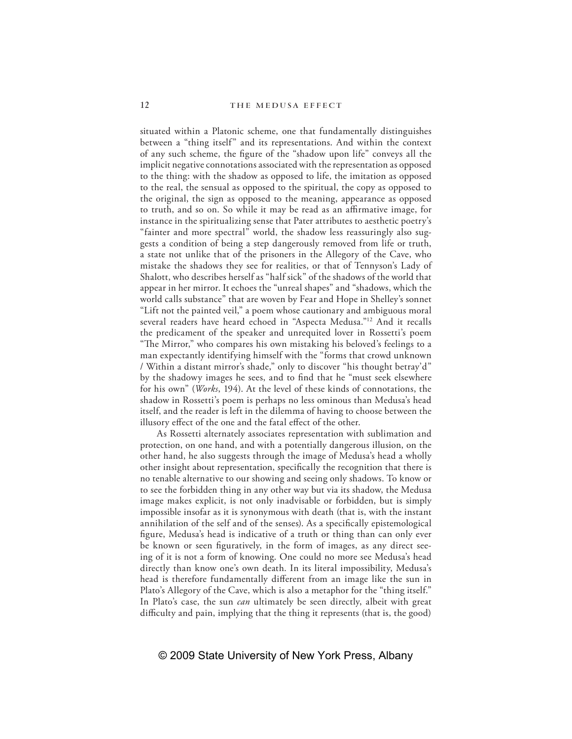situated within a Platonic scheme, one that fundamentally distinguishes between a "thing itself" and its representations. And within the context of any such scheme, the figure of the "shadow upon life" conveys all the implicit negative connotations associated with the representation as opposed to the thing: with the shadow as opposed to life, the imitation as opposed to the real, the sensual as opposed to the spiritual, the copy as opposed to the original, the sign as opposed to the meaning, appearance as opposed to truth, and so on. So while it may be read as an affirmative image, for instance in the spiritualizing sense that Pater attributes to aesthetic poetry's "fainter and more spectral" world, the shadow less reassuringly also suggests a condition of being a step dangerously removed from life or truth, a state not unlike that of the prisoners in the Allegory of the Cave, who mistake the shadows they see for realities, or that of Tennyson's Lady of Shalott, who describes herself as "half sick" of the shadows of the world that appear in her mirror. It echoes the "unreal shapes" and "shadows, which the world calls substance" that are woven by Fear and Hope in Shelley's sonnet "Lift not the painted veil," a poem whose cautionary and ambiguous moral several readers have heard echoed in "Aspecta Medusa."12 And it recalls the predicament of the speaker and unrequited lover in Rossetti's poem "The Mirror," who compares his own mistaking his beloved's feelings to a man expectantly identifying himself with the "forms that crowd unknown / Within a distant mirror's shade," only to discover "his thought betray'd" by the shadowy images he sees, and to find that he "must seek elsewhere for his own" (*Works*, 194). At the level of these kinds of connotations, the shadow in Rossetti's poem is perhaps no less ominous than Medusa's head itself, and the reader is left in the dilemma of having to choose between the illusory effect of the one and the fatal effect of the other.

As Rossetti alternately associates representation with sublimation and protection, on one hand, and with a potentially dangerous illusion, on the other hand, he also suggests through the image of Medusa's head a wholly other insight about representation, specifically the recognition that there is no tenable alternative to our showing and seeing only shadows. To know or to see the forbidden thing in any other way but via its shadow, the Medusa image makes explicit, is not only inadvisable or forbidden, but is simply impossible insofar as it is synonymous with death (that is, with the instant annihilation of the self and of the senses). As a specifically epistemological figure, Medusa's head is indicative of a truth or thing than can only ever be known or seen figuratively, in the form of images, as any direct seeing of it is not a form of knowing. One could no more see Medusa's head directly than know one's own death. In its literal impossibility, Medusa's head is therefore fundamentally different from an image like the sun in Plato's Allegory of the Cave, which is also a metaphor for the "thing itself." In Plato's case, the sun *can* ultimately be seen directly, albeit with great difficulty and pain, implying that the thing it represents (that is, the good)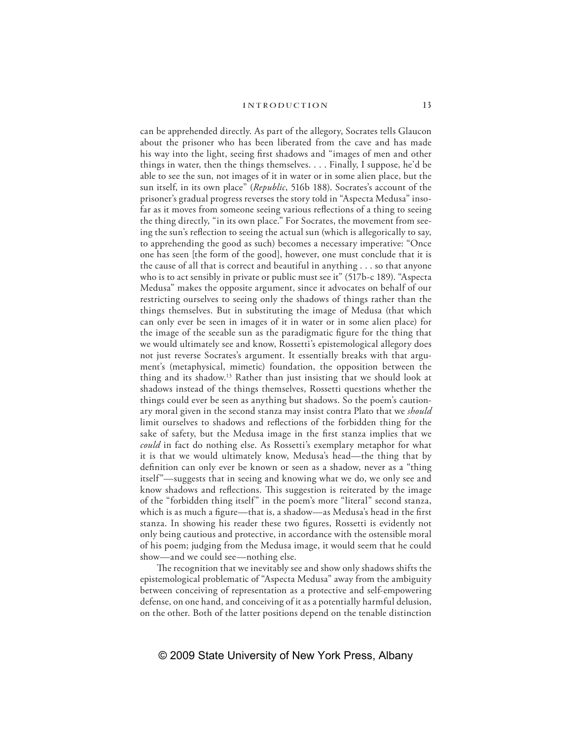can be apprehended directly. As part of the allegory, Socrates tells Glaucon about the prisoner who has been liberated from the cave and has made his way into the light, seeing first shadows and "images of men and other things in water, then the things themselves. . . . Finally, I suppose, he'd be able to see the sun, not images of it in water or in some alien place, but the sun itself, in its own place" (*Republic*, 516b 188). Socrates's account of the prisoner's gradual progress reverses the story told in "Aspecta Medusa" insofar as it moves from someone seeing various reflections of a thing to seeing the thing directly, "in its own place." For Socrates, the movement from seeing the sun's reflection to seeing the actual sun (which is allegorically to say, to apprehending the good as such) becomes a necessary imperative: "Once one has seen [the form of the good], however, one must conclude that it is the cause of all that is correct and beautiful in anything . . . so that anyone who is to act sensibly in private or public must see it" (517b-c 189). "Aspecta Medusa" makes the opposite argument, since it advocates on behalf of our restricting ourselves to seeing only the shadows of things rather than the things themselves. But in substituting the image of Medusa (that which can only ever be seen in images of it in water or in some alien place) for the image of the seeable sun as the paradigmatic figure for the thing that we would ultimately see and know, Rossetti's epistemological allegory does not just reverse Socrates's argument. It essentially breaks with that argument's (metaphysical, mimetic) foundation, the opposition between the thing and its shadow.13 Rather than just insisting that we should look at shadows instead of the things themselves, Rossetti questions whether the things could ever be seen as anything but shadows. So the poem's cautionary moral given in the second stanza may insist contra Plato that we *should* limit ourselves to shadows and reflections of the forbidden thing for the sake of safety, but the Medusa image in the first stanza implies that we *could* in fact do nothing else. As Rossetti's exemplary metaphor for what it is that we would ultimately know, Medusa's head—the thing that by definition can only ever be known or seen as a shadow, never as a "thing" itself"—suggests that in seeing and knowing what we do, we only see and know shadows and reflections. This suggestion is reiterated by the image of the "forbidden thing itself" in the poem's more "literal" second stanza, which is as much a figure—that is, a shadow—as Medusa's head in the first stanza. In showing his reader these two figures, Rossetti is evidently not only being cautious and protective, in accordance with the ostensible moral of his poem; judging from the Medusa image, it would seem that he could show—and we could see—nothing else.

The recognition that we inevitably see and show only shadows shifts the epistemological problematic of "Aspecta Medusa" away from the ambiguity between conceiving of representation as a protective and self-empowering defense, on one hand, and conceiving of it as a potentially harmful delusion, on the other. Both of the latter positions depend on the tenable distinction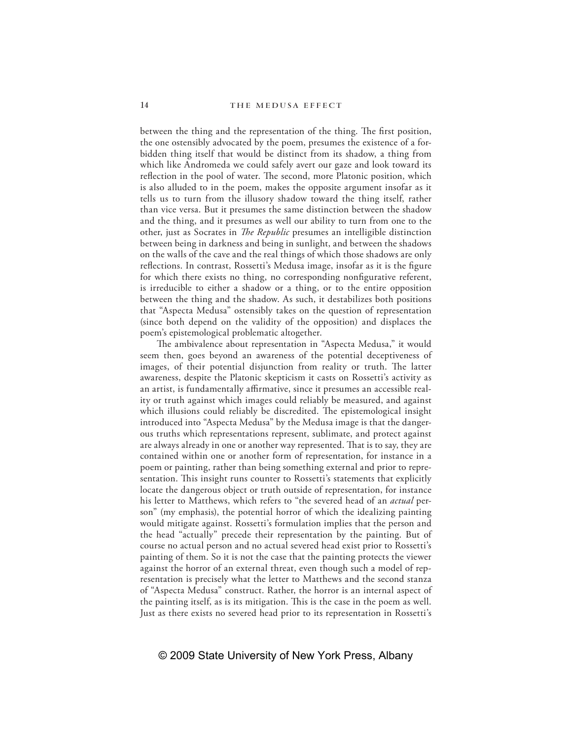between the thing and the representation of the thing. The first position, the one ostensibly advocated by the poem, presumes the existence of a forbidden thing itself that would be distinct from its shadow, a thing from which like Andromeda we could safely avert our gaze and look toward its reflection in the pool of water. The second, more Platonic position, which is also alluded to in the poem, makes the opposite argument insofar as it tells us to turn from the illusory shadow toward the thing itself, rather than vice versa. But it presumes the same distinction between the shadow and the thing, and it presumes as well our ability to turn from one to the other, just as Socrates in *The Republic* presumes an intelligible distinction between being in darkness and being in sunlight, and between the shadows on the walls of the cave and the real things of which those shadows are only reflections. In contrast, Rossetti's Medusa image, insofar as it is the figure for which there exists no thing, no corresponding nonfigurative referent, is irreducible to either a shadow or a thing, or to the entire opposition between the thing and the shadow. As such, it destabilizes both positions that "Aspecta Medusa" ostensibly takes on the question of representation (since both depend on the validity of the opposition) and displaces the poem's epistemological problematic altogether.

The ambivalence about representation in "Aspecta Medusa," it would seem then, goes beyond an awareness of the potential deceptiveness of images, of their potential disjunction from reality or truth. The latter awareness, despite the Platonic skepticism it casts on Rossetti's activity as an artist, is fundamentally affirmative, since it presumes an accessible reality or truth against which images could reliably be measured, and against which illusions could reliably be discredited. The epistemological insight introduced into "Aspecta Medusa" by the Medusa image is that the dangerous truths which representations represent, sublimate, and protect against are always already in one or another way represented. That is to say, they are contained within one or another form of representation, for instance in a poem or painting, rather than being something external and prior to representation. This insight runs counter to Rossetti's statements that explicitly locate the dangerous object or truth outside of representation, for instance his letter to Matthews, which refers to "the severed head of an *actual* person" (my emphasis), the potential horror of which the idealizing painting would mitigate against. Rossetti's formulation implies that the person and the head "actually" precede their representation by the painting. But of course no actual person and no actual severed head exist prior to Rossetti's painting of them. So it is not the case that the painting protects the viewer against the horror of an external threat, even though such a model of representation is precisely what the letter to Matthews and the second stanza of "Aspecta Medusa" construct. Rather, the horror is an internal aspect of the painting itself, as is its mitigation. This is the case in the poem as well. Just as there exists no severed head prior to its representation in Rossetti's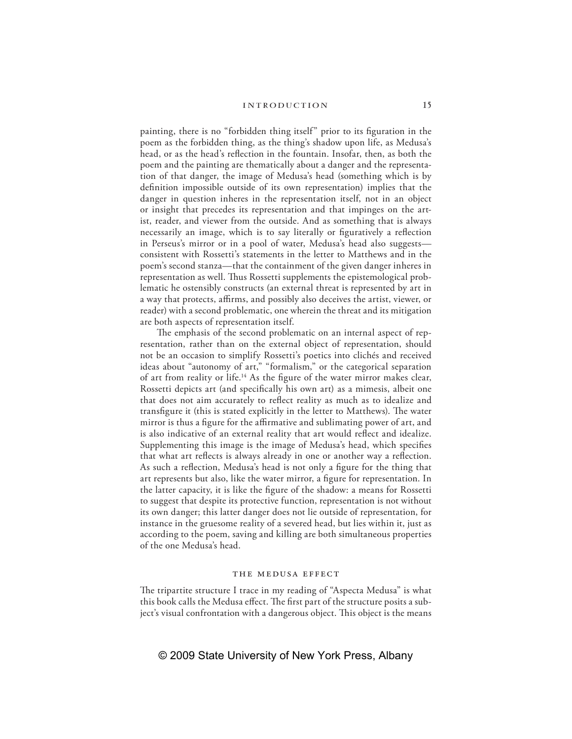painting, there is no "forbidden thing itself" prior to its figuration in the poem as the forbidden thing, as the thing's shadow upon life, as Medusa's head, or as the head's reflection in the fountain. Insofar, then, as both the poem and the painting are thematically about a danger and the representation of that danger, the image of Medusa's head (something which is by definition impossible outside of its own representation) implies that the danger in question inheres in the representation itself, not in an object or insight that precedes its representation and that impinges on the artist, reader, and viewer from the outside. And as something that is always necessarily an image, which is to say literally or figuratively a reflection in Perseus's mirror or in a pool of water, Medusa's head also suggests consistent with Rossetti's statements in the letter to Matthews and in the poem's second stanza—that the containment of the given danger inheres in representation as well. Thus Rossetti supplements the epistemological problematic he ostensibly constructs (an external threat is represented by art in a way that protects, affirms, and possibly also deceives the artist, viewer, or reader) with a second problematic, one wherein the threat and its mitigation are both aspects of representation itself.

The emphasis of the second problematic on an internal aspect of representation, rather than on the external object of representation, should not be an occasion to simplify Rossetti's poetics into clichés and received ideas about "autonomy of art," "formalism," or the categorical separation of art from reality or life.<sup>14</sup> As the figure of the water mirror makes clear, Rossetti depicts art (and specifically his own art) as a mimesis, albeit one that does not aim accurately to reflect reality as much as to idealize and transfigure it (this is stated explicitly in the letter to Matthews). The water mirror is thus a figure for the affirmative and sublimating power of art, and is also indicative of an external reality that art would reflect and idealize. Supplementing this image is the image of Medusa's head, which specifies that what art reflects is always already in one or another way a reflection. As such a reflection, Medusa's head is not only a figure for the thing that art represents but also, like the water mirror, a figure for representation. In the latter capacity, it is like the figure of the shadow: a means for Rossetti to suggest that despite its protective function, representation is not without its own danger; this latter danger does not lie outside of representation, for instance in the gruesome reality of a severed head, but lies within it, just as according to the poem, saving and killing are both simultaneous properties of the one Medusa's head.

#### THE MEDUSA EFFECT

The tripartite structure I trace in my reading of "Aspecta Medusa" is what this book calls the Medusa effect. The first part of the structure posits a subject's visual confrontation with a dangerous object. This object is the means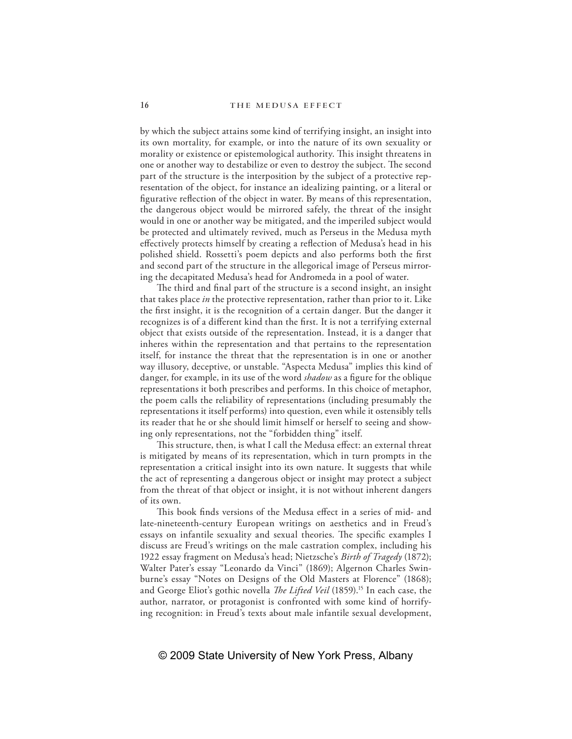by which the subject attains some kind of terrifying insight, an insight into its own mortality, for example, or into the nature of its own sexuality or morality or existence or epistemological authority. This insight threatens in one or another way to destabilize or even to destroy the subject. The second part of the structure is the interposition by the subject of a protective representation of the object, for instance an idealizing painting, or a literal or figurative reflection of the object in water. By means of this representation, the dangerous object would be mirrored safely, the threat of the insight would in one or another way be mitigated, and the imperiled subject would be protected and ultimately revived, much as Perseus in the Medusa myth effectively protects himself by creating a reflection of Medusa's head in his polished shield. Rossetti's poem depicts and also performs both the first and second part of the structure in the allegorical image of Perseus mirroring the decapitated Medusa's head for Andromeda in a pool of water.

The third and final part of the structure is a second insight, an insight that takes place *in* the protective representation, rather than prior to it. Like the first insight, it is the recognition of a certain danger. But the danger it recognizes is of a different kind than the first. It is not a terrifying external object that exists outside of the representation. Instead, it is a danger that inheres within the representation and that pertains to the representation itself, for instance the threat that the representation is in one or another way illusory, deceptive, or unstable. "Aspecta Medusa" implies this kind of danger, for example, in its use of the word *shadow* as a figure for the oblique representations it both prescribes and performs. In this choice of metaphor, the poem calls the reliability of representations (including presumably the representations it itself performs) into question, even while it ostensibly tells its reader that he or she should limit himself or herself to seeing and showing only representations, not the "forbidden thing" itself.

This structure, then, is what I call the Medusa effect: an external threat is mitigated by means of its representation, which in turn prompts in the representation a critical insight into its own nature. It suggests that while the act of representing a dangerous object or insight may protect a subject from the threat of that object or insight, it is not without inherent dangers of its own.

This book finds versions of the Medusa effect in a series of mid- and late-nineteenth-century European writings on aesthetics and in Freud's essays on infantile sexuality and sexual theories. The specific examples I discuss are Freud's writings on the male castration complex, including his 1922 essay fragment on Medusa's head; Nietzsche's *Birth of Tragedy* (1872); Walter Pater's essay "Leonardo da Vinci" (1869); Algernon Charles Swinburne's essay "Notes on Designs of the Old Masters at Florence" (1868); and George Eliot's gothic novella *The Lifted Veil* (1859).<sup>15</sup> In each case, the author, narrator, or protagonist is confronted with some kind of horrifying recognition: in Freud's texts about male infantile sexual development,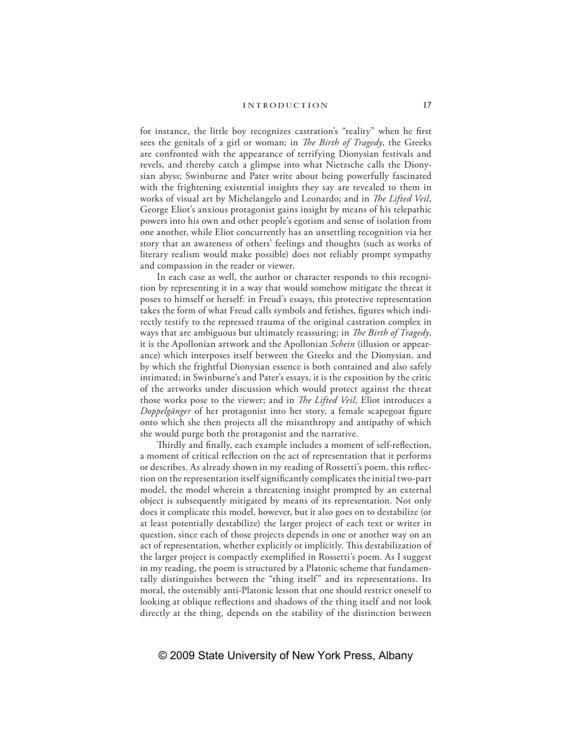for instance, the little boy recognizes castration's "reality" when he first sees the genitals of a girl or woman; in *The Birth of Tragedy*, the Greeks are confronted with the appearance of terrifying Dionysian festivals and revels, and thereby catch a glimpse into what Nietzsche calls the Dionysian abyss; Swinburne and Pater write about being powerfully fascinated with the frightening existential insights they say are revealed to them in works of visual art by Michelangelo and Leonardo; and in *The Lifted Veil*, George Eliot's anxious protagonist gains insight by means of his telepathic powers into his own and other people's egotism and sense of isolation from one another, while Eliot concurrently has an unsettling recognition via her story that an awareness of others' feelings and thoughts (such as works of literary realism would make possible) does not reliably prompt sympathy and compassion in the reader or viewer.

In each case as well, the author or character responds to this recognition by representing it in a way that would somehow mitigate the threat it poses to himself or herself: in Freud's essays, this protective representation takes the form of what Freud calls symbols and fetishes, figures which indirectly testify to the repressed trauma of the original castration complex in ways that are ambiguous but ultimately reassuring; in *The Birth of Tragedy*, it is the Apollonian artwork and the Apollonian *Schein* (illusion or appearance) which interposes itself between the Greeks and the Dionysian, and by which the frightful Dionysian essence is both contained and also safely intimated; in Swinburne's and Pater's essays, it is the exposition by the critic of the artworks under discussion which would protect against the threat those works pose to the viewer; and in *The Lifted Veil*, Eliot introduces a *Doppelgänger* of her protagonist into her story, a female scapegoat figure onto which she then projects all the misanthropy and antipathy of which she would purge both the protagonist and the narrative.

Thirdly and finally, each example includes a moment of self-reflection, a moment of critical reflection on the act of representation that it performs or describes. As already shown in my reading of Rossetti's poem, this reflection on the representation itself significantly complicates the initial two-part model, the model wherein a threatening insight prompted by an external object is subsequently mitigated by means of its representation. Not only does it complicate this model, however, but it also goes on to destabilize (or at least potentially destabilize) the larger project of each text or writer in question, since each of those projects depends in one or another way on an act of representation, whether explicitly or implicitly. This destabilization of the larger project is compactly exemplified in Rossetti's poem. As I suggest in my reading, the poem is structured by a Platonic scheme that fundamentally distinguishes between the "thing itself" and its representations. Its moral, the ostensibly anti-Platonic lesson that one should restrict oneself to looking at oblique reflections and shadows of the thing itself and not look directly at the thing, depends on the stability of the distinction between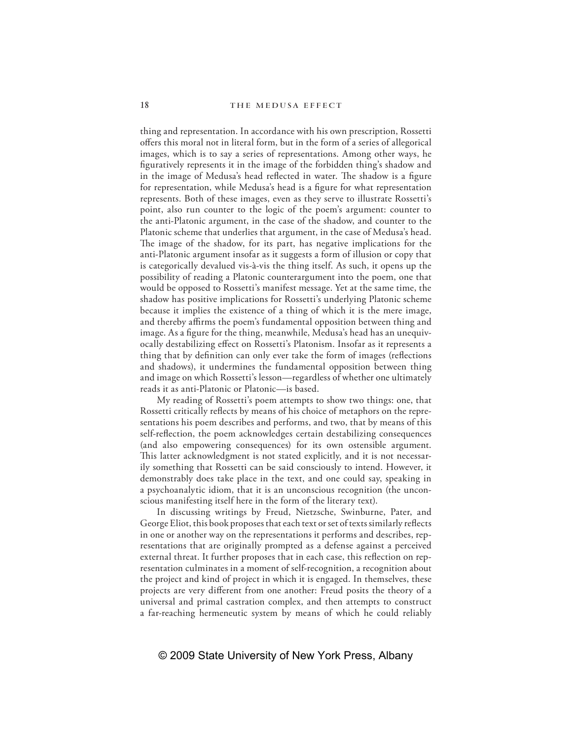thing and representation. In accordance with his own prescription, Rossetti offers this moral not in literal form, but in the form of a series of allegorical images, which is to say a series of representations. Among other ways, he figuratively represents it in the image of the forbidden thing's shadow and in the image of Medusa's head reflected in water. The shadow is a figure for representation, while Medusa's head is a figure for what representation represents. Both of these images, even as they serve to illustrate Rossetti's point, also run counter to the logic of the poem's argument: counter to the anti-Platonic argument, in the case of the shadow, and counter to the Platonic scheme that underlies that argument, in the case of Medusa's head. The image of the shadow, for its part, has negative implications for the anti-Platonic argument insofar as it suggests a form of illusion or copy that is categorically devalued vis-à-vis the thing itself. As such, it opens up the possibility of reading a Platonic counterargument into the poem, one that would be opposed to Rossetti's manifest message. Yet at the same time, the shadow has positive implications for Rossetti's underlying Platonic scheme because it implies the existence of a thing of which it is the mere image, and thereby affirms the poem's fundamental opposition between thing and image. As a figure for the thing, meanwhile, Medusa's head has an unequivocally destabilizing effect on Rossetti's Platonism. Insofar as it represents a thing that by definition can only ever take the form of images (reflections and shadows), it undermines the fundamental opposition between thing and image on which Rossetti's lesson—regardless of whether one ultimately reads it as anti-Platonic or Platonic—is based.

My reading of Rossetti's poem attempts to show two things: one, that Rossetti critically reflects by means of his choice of metaphors on the representations his poem describes and performs, and two, that by means of this self-reflection, the poem acknowledges certain destabilizing consequences (and also empowering consequences) for its own ostensible argument. This latter acknowledgment is not stated explicitly, and it is not necessarily something that Rossetti can be said consciously to intend. However, it demonstrably does take place in the text, and one could say, speaking in a psychoanalytic idiom, that it is an unconscious recognition (the unconscious manifesting itself here in the form of the literary text).

In discussing writings by Freud, Nietzsche, Swinburne, Pater, and George Eliot, this book proposes that each text or set of texts similarly reflects in one or another way on the representations it performs and describes, representations that are originally prompted as a defense against a perceived external threat. It further proposes that in each case, this reflection on representation culminates in a moment of self-recognition, a recognition about the project and kind of project in which it is engaged. In themselves, these projects are very different from one another: Freud posits the theory of a universal and primal castration complex, and then attempts to construct a far-reaching hermeneutic system by means of which he could reliably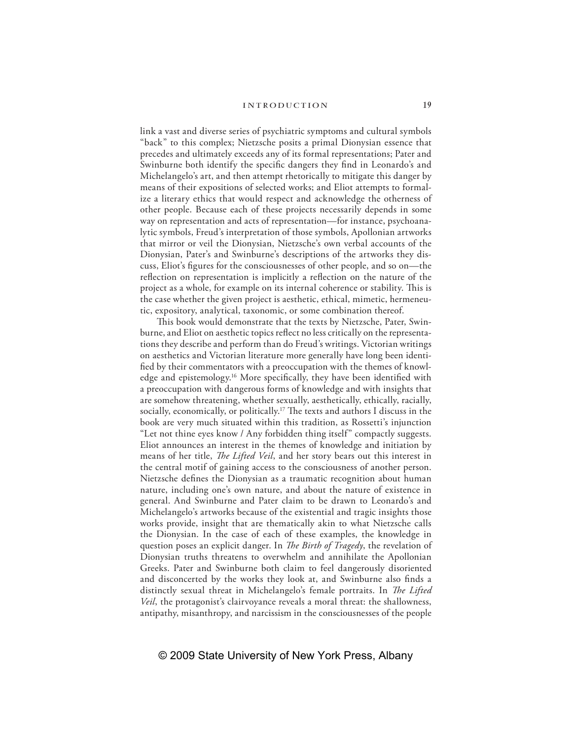link a vast and diverse series of psychiatric symptoms and cultural symbols "back" to this complex; Nietzsche posits a primal Dionysian essence that precedes and ultimately exceeds any of its formal representations; Pater and Swinburne both identify the specific dangers they find in Leonardo's and Michelangelo's art, and then attempt rhetorically to mitigate this danger by means of their expositions of selected works; and Eliot attempts to formalize a literary ethics that would respect and acknowledge the otherness of other people. Because each of these projects necessarily depends in some way on representation and acts of representation—for instance, psychoanalytic symbols, Freud's interpretation of those symbols, Apollonian artworks that mirror or veil the Dionysian, Nietzsche's own verbal accounts of the Dionysian, Pater's and Swinburne's descriptions of the artworks they discuss, Eliot's figures for the consciousnesses of other people, and so on—the reflection on representation is implicitly a reflection on the nature of the project as a whole, for example on its internal coherence or stability. This is the case whether the given project is aesthetic, ethical, mimetic, hermeneutic, expository, analytical, taxonomic, or some combination thereof.

This book would demonstrate that the texts by Nietzsche, Pater, Swinburne, and Eliot on aesthetic topics reflect no less critically on the representations they describe and perform than do Freud's writings. Victorian writings on aesthetics and Victorian literature more generally have long been identified by their commentators with a preoccupation with the themes of knowledge and epistemology.<sup>16</sup> More specifically, they have been identified with a preoccupation with dangerous forms of knowledge and with insights that are somehow threatening, whether sexually, aesthetically, ethically, racially, socially, economically, or politically.<sup>17</sup> The texts and authors I discuss in the book are very much situated within this tradition, as Rossetti's injunction "Let not thine eyes know / Any forbidden thing itself" compactly suggests. Eliot announces an interest in the themes of knowledge and initiation by means of her title, *The Lifted Veil*, and her story bears out this interest in the central motif of gaining access to the consciousness of another person. Nietzsche defines the Dionysian as a traumatic recognition about human nature, including one's own nature, and about the nature of existence in general. And Swinburne and Pater claim to be drawn to Leonardo's and Michelangelo's artworks because of the existential and tragic insights those works provide, insight that are thematically akin to what Nietzsche calls the Dionysian. In the case of each of these examples, the knowledge in question poses an explicit danger. In *The Birth of Tragedy*, the revelation of Dionysian truths threatens to overwhelm and annihilate the Apollonian Greeks. Pater and Swinburne both claim to feel dangerously disoriented and disconcerted by the works they look at, and Swinburne also finds a distinctly sexual threat in Michelangelo's female portraits. In *The Lifted Veil*, the protagonist's clairvoyance reveals a moral threat: the shallowness, antipathy, misanthropy, and narcissism in the consciousnesses of the people